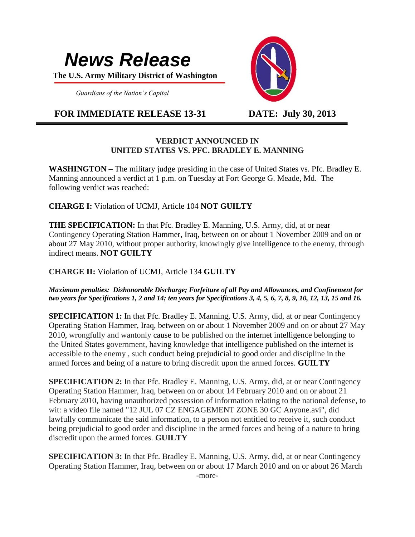# *News Release*

 **The U.S. Army Military District of Washington**

 *Guardians of the Nation's Capital*

# **FOR IMMEDIATE RELEASE 13-31 DATE: July 30, 2013**



## **VERDICT ANNOUNCED IN UNITED STATES VS. PFC. BRADLEY E. MANNING**

**WASHINGTON –** The military judge presiding in the case of United States vs. Pfc. Bradley E. Manning announced a verdict at 1 p.m. on Tuesday at Fort George G. Meade, Md. The following verdict was reached:

**CHARGE I:** Violation of UCMJ, Article 104 **NOT GUILTY**

**THE SPECIFICATION:** In that Pfc. Bradley E. Manning, U.S. Army, did, at or near Contingency Operating Station Hammer, Iraq, between on or about 1 November 2009 and on or about 27 May 2010, without proper authority, knowingly give intelligence to the enemy, through indirect means. **NOT GUILTY**

**CHARGE II:** Violation of UCMJ, Article 134 **GUILTY**

*Maximum penalties: Dishonorable Discharge; Forfeiture of all Pay and Allowances, and Confinement for two years for Specifications 1, 2 and 14; ten years for Specifications 3, 4, 5, 6, 7, 8, 9, 10, 12, 13, 15 and 16.* 

**SPECIFICATION 1:** In that Pfc. Bradley E. Manning, U.S. Army, did, at or near Contingency Operating Station Hammer, Iraq, between on or about 1 November 2009 and on or about 27 May 2010, wrongfully and wantonly cause to be published on the internet intelligence belonging to the United States government, having knowledge that intelligence published on the internet is accessible to the enemy , such conduct being prejudicial to good order and discipline in the armed forces and being of a nature to bring discredit upon the armed forces. **GUILTY**

**SPECIFICATION 2:** In that Pfc. Bradley E. Manning, U.S. Army, did, at or near Contingency Operating Station Hammer, Iraq, between on or about 14 February 2010 and on or about 21 February 2010, having unauthorized possession of information relating to the national defense, to wit: a video file named "12 JUL 07 CZ ENGAGEMENT ZONE 30 GC Anyone.avi", did lawfully communicate the said information, to a person not entitled to receive it, such conduct being prejudicial to good order and discipline in the armed forces and being of a nature to bring discredit upon the armed forces. **GUILTY**

**SPECIFICATION 3:** In that Pfc. Bradley E. Manning, U.S. Army, did, at or near Contingency Operating Station Hammer, Iraq, between on or about 17 March 2010 and on or about 26 March -more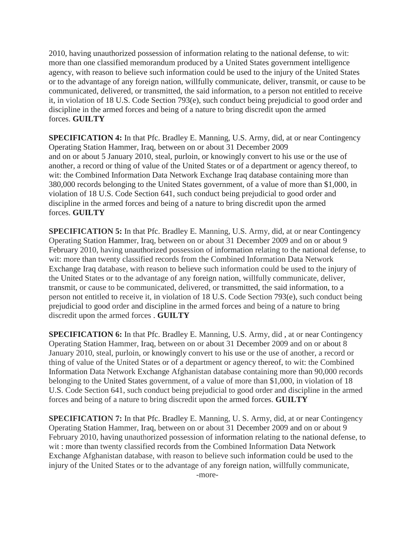2010, having unauthorized possession of information relating to the national defense, to wit: more than one classified memorandum produced by a United States government intelligence agency, with reason to believe such information could be used to the injury of the United States or to the advantage of any foreign nation, willfully communicate, deliver, transmit, or cause to be communicated, delivered, or transmitted, the said information, to a person not entitled to receive it, in violation of 18 U.S. Code Section 793(e), such conduct being prejudicial to good order and discipline in the armed forces and being of a nature to bring discredit upon the armed forces. **GUILTY**

**SPECIFICATION 4:** In that Pfc. Bradley E. Manning, U.S. Army, did, at or near Contingency Operating Station Hammer, Iraq, between on or about 31 December 2009 and on or about 5 January 2010, steal, purloin, or knowingly convert to his use or the use of another, a record or thing of value of the United States or of a department or agency thereof, to wit: the Combined Information Data Network Exchange Iraq database containing more than 380,000 records belonging to the United States government, of a value of more than \$1,000, in violation of 18 U.S. Code Section 641, such conduct being prejudicial to good order and discipline in the armed forces and being of a nature to bring discredit upon the armed forces. **GUILTY**

**SPECIFICATION 5:** In that Pfc. Bradley E. Manning, U.S. Army, did, at or near Contingency Operating Station Hammer, Iraq, between on or about 31 December 2009 and on or about 9 February 2010, having unauthorized possession of information relating to the national defense, to wit: more than twenty classified records from the Combined Information Data Network Exchange Iraq database, with reason to believe such information could be used to the injury of the United States or to the advantage of any foreign nation, willfully communicate, deliver, transmit, or cause to be communicated, delivered, or transmitted, the said information, to a person not entitled to receive it, in violation of 18 U.S. Code Section 793(e), such conduct being prejudicial to good order and discipline in the armed forces and being of a nature to bring discredit upon the armed forces . **GUILTY**

**SPECIFICATION 6:** In that Pfc. Bradley E. Manning, U.S. Army, did , at or near Contingency Operating Station Hammer, Iraq, between on or about 31 December 2009 and on or about 8 January 2010, steal, purloin, or knowingly convert to his use or the use of another, a record or thing of value of the United States or of a department or agency thereof, to wit: the Combined Information Data Network Exchange Afghanistan database containing more than 90,000 records belonging to the United States government, of a value of more than \$1,000, in violation of 18 U.S. Code Section 641, such conduct being prejudicial to good order and discipline in the armed forces and being of a nature to bring discredit upon the armed forces. **GUILTY**

**SPECIFICATION 7:** In that Pfc. Bradley E. Manning, U. S. Army, did, at or near Contingency Operating Station Hammer, Iraq, between on or about 31 December 2009 and on or about 9 February 2010, having unauthorized possession of information relating to the national defense, to wit : more than twenty classified records from the Combined Information Data Network Exchange Afghanistan database, with reason to believe such information could be used to the injury of the United States or to the advantage of any foreign nation, willfully communicate,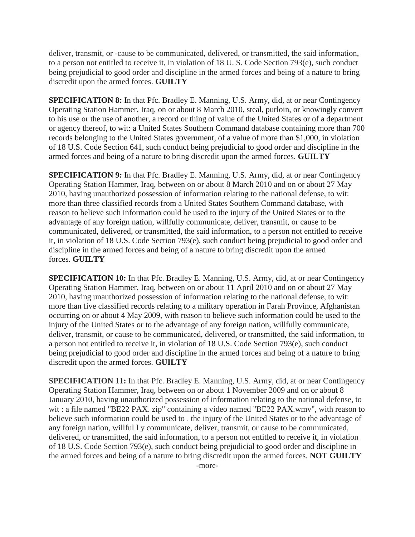deliver, transmit, or -cause to be communicated, delivered, or transmitted, the said information, to a person not entitled to receive it, in violation of 18 U. S. Code Section 793(e), such conduct being prejudicial to good order and discipline in the armed forces and being of a nature to bring discredit upon the armed forces. **GUILTY**

**SPECIFICATION 8:** In that Pfc. Bradley E. Manning, U.S. Army, did, at or near Contingency Operating Station Hammer, Iraq, on or about 8 March 2010, steal, purloin, or knowingly convert to his use or the use of another, a record or thing of value of the United States or of a department or agency thereof, to wit: a United States Southern Command database containing more than 700 records belonging to the United States government, of a value of more than \$1,000, in violation of 18 U.S. Code Section 641, such conduct being prejudicial to good order and discipline in the armed forces and being of a nature to bring discredit upon the armed forces. **GUILTY**

**SPECIFICATION 9:** In that Pfc. Bradley E. Manning, U.S. Army, did, at or near Contingency Operating Station Hammer, Iraq, between on or about 8 March 2010 and on or about 27 May 2010, having unauthorized possession of information relating to the national defense, to wit: more than three classified records from a United States Southern Command database, with reason to believe such information could be used to the injury of the United States or to the advantage of any foreign nation, willfully communicate, deliver, transmit, or cause to be communicated, delivered, or transmitted, the said information, to a person not entitled to receive it, in violation of 18 U.S. Code Section 793(e), such conduct being prejudicial to good order and discipline in the armed forces and being of a nature to bring discredit upon the armed forces. **GUILTY**

**SPECIFICATION 10:** In that Pfc. Bradley E. Manning, U.S. Army, did, at or near Contingency Operating Station Hammer, Iraq, between on or about 11 April 2010 and on or about 27 May 2010, having unauthorized possession of information relating to the national defense, to wit: more than five classified records relating to a military operation in Farah Province, Afghanistan occurring on or about 4 May 2009, with reason to believe such information could be used to the injury of the United States or to the advantage of any foreign nation, willfully communicate, deliver, transmit, or cause to be communicated, delivered, or transmitted, the said information, to a person not entitled to receive it, in violation of 18 U.S. Code Section 793(e), such conduct being prejudicial to good order and discipline in the armed forces and being of a nature to bring discredit upon the armed forces. **GUILTY**

**SPECIFICATION 11:** In that Pfc. Bradley E. Manning, U.S. Army, did, at or near Contingency Operating Station Hammer, Iraq, between on or about 1 November 2009 and on or about 8 January 2010, having unauthorized possession of information relating to the national defense, to wit : a file named "BE22 PAX. zip" containing a video named "BE22 PAX.wmv", with reason to believe such information could be used to . the injury of the United States or to the advantage of any foreign nation, willful l y communicate, deliver, transmit, or cause to be communicated, delivered, or transmitted, the said information, to a person not entitled to receive it, in violation of 18 U.S. Code Section 793(e), such conduct being prejudicial to good order and discipline in the armed forces and being of a nature to bring discredit upon the armed forces. **NOT GUILTY** -more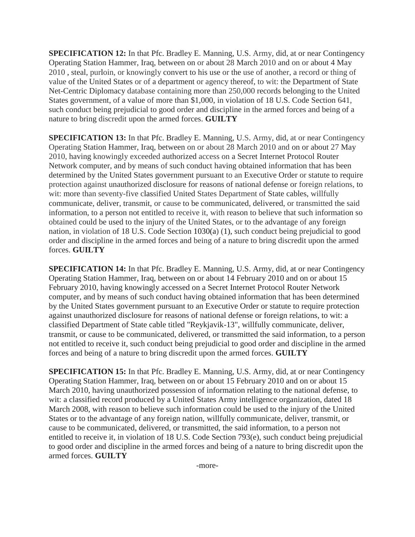**SPECIFICATION 12:** In that Pfc. Bradley E. Manning, U.S. Army, did, at or near Contingency Operating Station Hammer, Iraq, between on or about 28 March 2010 and on or about 4 May 2010 , steal, purloin, or knowingly convert to his use or the use of another, a record or thing of value of the United States or of a department or agency thereof, to wit: the Department of State Net-Centric Diplomacy database containing more than 250,000 records belonging to the United States government, of a value of more than \$1,000, in violation of 18 U.S. Code Section 641, such conduct being prejudicial to good order and discipline in the armed forces and being of a nature to bring discredit upon the armed forces. **GUILTY**

**SPECIFICATION 13:** In that Pfc. Bradley E. Manning, U.S. Army, did, at or near Contingency Operating Station Hammer, Iraq, between on or about 28 March 2010 and on or about 27 May 2010, having knowingly exceeded authorized access on a Secret Internet Protocol Router Network computer, and by means of such conduct having obtained information that has been determined by the United States government pursuant to an Executive Order or statute to require protection against unauthorized disclosure for reasons of national defense or foreign relations, to wit: more than seventy-five classified United States Department of State cables, willfully communicate, deliver, transmit, or cause to be communicated, delivered, or transmitted the said information, to a person not entitled to receive it, with reason to believe that such information so obtained could be used to the injury of the United States, or to the advantage of any foreign nation, in violation of 18 U.S. Code Section 1030(a) (1), such conduct being prejudicial to good order and discipline in the armed forces and being of a nature to bring discredit upon the armed forces. **GUILTY**

**SPECIFICATION 14:** In that Pfc. Bradley E. Manning, U.S. Army, did, at or near Contingency Operating Station Hammer, Iraq, between on or about 14 February 2010 and on or about 15 February 2010, having knowingly accessed on a Secret Internet Protocol Router Network computer, and by means of such conduct having obtained information that has been determined by the United States government pursuant to an Executive Order or statute to require protection against unauthorized disclosure for reasons of national defense or foreign relations, to wit: a classified Department of State cable titled "Reykjavik-13", willfully communicate, deliver, transmit, or cause to be communicated, delivered, or transmitted the said information, to a person not entitled to receive it, such conduct being prejudicial to good order and discipline in the armed forces and being of a nature to bring discredit upon the armed forces. **GUILTY**

**SPECIFICATION 15:** In that Pfc. Bradley E. Manning, U.S. Army, did, at or near Contingency Operating Station Hammer, Iraq, between on or about 15 February 2010 and on or about 15 March 2010, having unauthorized possession of information relating to the national defense, to wit: a classified record produced by a United States Army intelligence organization, dated 18 March 2008, with reason to believe such information could be used to the injury of the United States or to the advantage of any foreign nation, willfully communicate, deliver, transmit, or cause to be communicated, delivered, or transmitted, the said information, to a person not entitled to receive it, in violation of 18 U.S. Code Section 793(e), such conduct being prejudicial to good order and discipline in the armed forces and being of a nature to bring discredit upon the armed forces. **GUILTY**